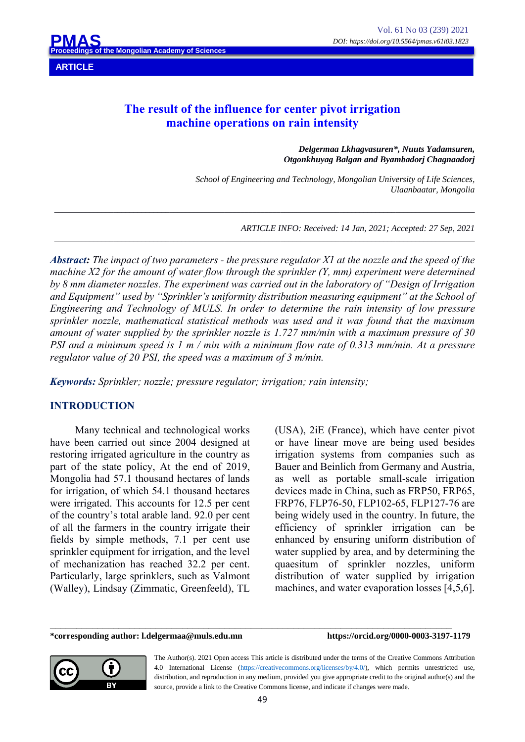**ARTICLE**

## **The result of the influence for center pivot irrigation machine operations on rain intensity**

*\_\_\_\_\_\_\_\_\_\_\_\_\_\_\_\_\_\_\_\_\_\_\_\_\_\_\_\_\_\_\_\_\_\_\_\_\_\_\_\_\_\_\_\_\_\_\_\_\_\_\_\_\_\_\_\_\_\_\_\_\_\_\_\_\_\_\_\_\_\_\_\_\_\_\_\_\_\_\_\_\_\_\_\_\_\_\_\_\_\_\_\_\_\_\_\_\_\_\_\_\_\_\_\_\_\_*

*\_\_\_\_\_\_\_\_\_\_\_\_\_\_\_\_\_\_\_\_\_\_\_\_\_\_\_\_\_\_\_\_\_\_\_\_\_\_\_\_\_\_\_\_\_\_\_\_\_\_\_\_\_\_\_\_\_\_\_\_\_\_\_\_\_\_\_\_\_\_\_\_\_\_\_\_\_\_\_\_\_\_\_\_\_\_\_\_\_\_\_\_\_\_\_\_\_\_\_\_\_\_\_\_\_\_*

*Delgermaa Lkhagvasuren\*, Nuuts Yadamsuren, Otgonkhuyag Balgan and Byambadorj Chagnaadorj*

*School of Engineering and Technology, Mongolian University of Life Sciences, Ulaanbaatar, Mongolia*

*ARTICLE INFO: Received: 14 Jan, 2021; Accepted: 27 Sep, 2021*

*Abstract: The impact of two parameters - the pressure regulator X1 at the nozzle and the speed of the machine X2 for the amount of water flow through the sprinkler (Y, mm) experiment were determined by 8 mm diameter nozzles. The experiment was carried out in the laboratory of "Design of Irrigation and Equipment" used by "Sprinkler's uniformity distribution measuring equipment" at the School of Engineering and Technology of MULS. In order to determine the rain intensity of low pressure sprinkler nozzle, mathematical statistical methods was used and it was found that the maximum amount of water supplied by the sprinkler nozzle is 1.727 mm/min with a maximum pressure of 30 PSI and a minimum speed is 1 m / min with a minimum flow rate of 0.313 mm/min. At a pressure regulator value of 20 PSI, the speed was a maximum of 3 m/min.*

*Keywords: Sprinkler; nozzle; pressure regulator; irrigation; rain intensity;*

## **INTRODUCTION**

Many technical and technological works have been carried out since 2004 designed at restoring irrigated agriculture in the country as part of the state policy, At the end of 2019, Mongolia had 57.1 thousand hectares of lands for irrigation, of which 54.1 thousand hectares were irrigated. This accounts for 12.5 per cent of the country's total arable land. 92.0 per cent of all the farmers in the country irrigate their fields by simple methods, 7.1 per cent use sprinkler equipment for irrigation, and the level of mechanization has reached 32.2 per cent. Particularly, large sprinklers, such as Valmont (Walley), Lindsay (Zimmatic, Greenfeeld), TL (USA), 2iE (France), which have center pivot or have linear move are being used besides irrigation systems from companies such as Bauer and Beinlich from Germany and Austria, as well as portable small-scale irrigation devices made in China, such as FRP50, FRP65, FRP76, FLP76-50, FLP102-65, FLP127-76 are being widely used in the country. In future, the efficiency of sprinkler irrigation can be enhanced by ensuring uniform distribution of water supplied by area, and by determining the quaesitum of sprinkler nozzles, uniform distribution of water supplied by irrigation machines, and water evaporation losses [4,5,6].

**\*corresponding author: l.delgermaa@muls.edu.mn https://orcid.org/0000-0003-3197-1179**



The Author(s). 2021 Open access This article is distributed under the terms of the Creative Commons Attribution 4.0 International License (https://creativecommons.org/licenses/by/4.0/), which permits unrestricted use, distribution, and reproduction in any medium, provided you give appropriate credit to the original author(s) and the source, provide a link to the Creative Commons license, and indicate if changes were made.

\_\_\_\_\_\_\_\_\_\_\_\_\_\_\_\_\_\_\_\_\_\_\_\_\_\_\_\_\_\_\_\_\_\_\_\_\_\_\_\_\_\_\_\_\_\_\_\_\_\_\_\_\_\_\_\_\_\_\_\_\_\_\_\_\_\_\_\_\_\_\_\_\_\_\_\_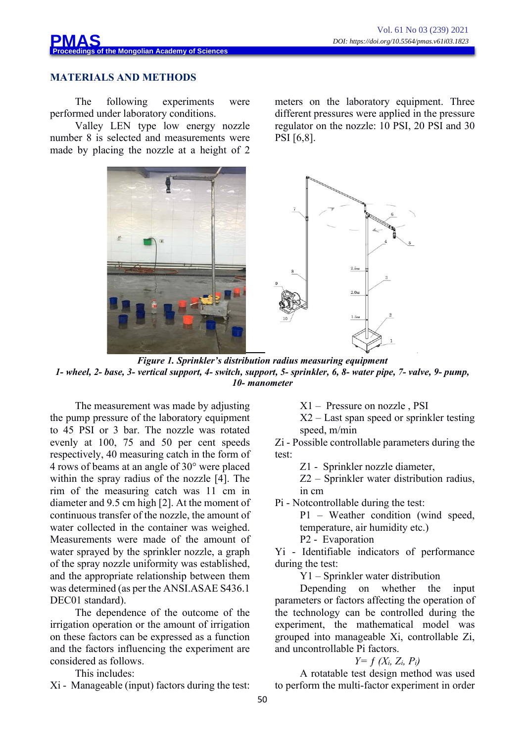meters on the laboratory equipment. Three different pressures were applied in the pressure regulator on the nozzle: 10 PSI, 20 PSI and 30



#### **MATERIALS AND METHODS**

The following experiments were performed under laboratory conditions.

Valley LEN type low energy nozzle number 8 is selected and measurements were made by placing the nozzle at a height of 2



PSI [6,8].

*Figure 1. Sprinkler's distribution radius measuring equipment 1- wheel, 2- base, 3- vertical support, 4- switch, support, 5- sprinkler, 6, 8- water pipe, 7- valve, 9- pump, 10- manometer*

The measurement was made by adjusting the pump pressure of the laboratory equipment to 45 PSI or 3 bar. The nozzle was rotated evenly at 100, 75 and 50 per cent speeds respectively, 40 measuring catch in the form of 4 rows of beams at an angle of 30° were placed within the spray radius of the nozzle [4]. The rim of the measuring catch was 11 cm in diameter and 9.5 cm high [2]. At the moment of continuous transfer of the nozzle, the amount of water collected in the container was weighed. Measurements were made of the amount of water sprayed by the sprinkler nozzle, a graph of the spray nozzle uniformity was established, and the appropriate relationship between them was determined (as per the ANSI.ASAE S436.1 DEC01 standard).

The dependence of the outcome of the irrigation operation or the amount of irrigation on these factors can be expressed as a function and the factors influencing the experiment are considered as follows.

This includes:

Хi - Manageable (input) factors during the test:

Х1 – Pressure on nozzle , PSI

Х2 – Last span speed or sprinkler testing speed, m/min

Zi - Possible controllable parameters during the test:

Z1 - Sprinkler nozzle diameter,

Z2 – Sprinkler water distribution radius, in сm

Pi - Notcontrollable during the test:

P1 – Weather condition (wind speed, temperature, air humidity etc.) P2 - Evaporation

Yi - Identifiable indicators of performance during the test:

Y1 – Sprinkler water distribution

Depending on whether the input parameters or factors affecting the operation of the technology can be controlled during the experiment, the mathematical model was grouped into manageable Xi, controllable Zi, and uncontrollable Pi factors.

## *Y= ƒ (Хi, Zi, Pi)*

A rotatable test design method was used to perform the multi-factor experiment in order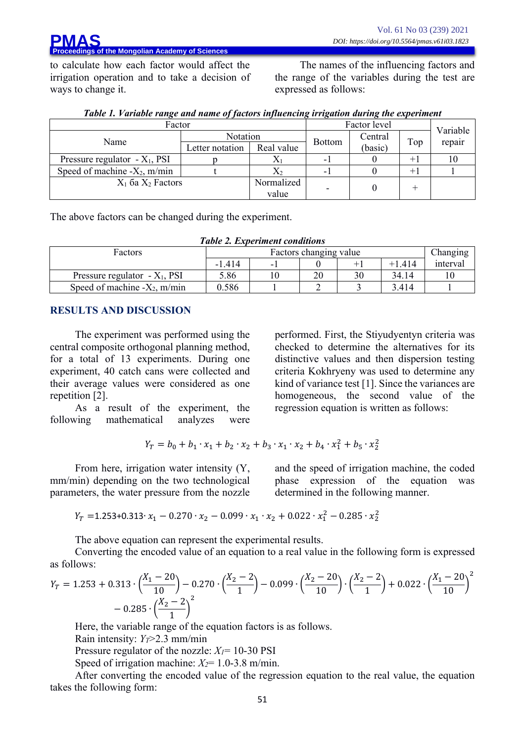to calculate how each factor would affect the irrigation operation and to take a decision of ways to change it.

The names of the influencing factors and the range of the variables during the test are expressed as follows:

| Factor                           |                 |            | Factor level  |         |        |          |
|----------------------------------|-----------------|------------|---------------|---------|--------|----------|
| Name                             | <b>Notation</b> |            | <b>Bottom</b> | Central | Top    | Variable |
|                                  | Letter notation | Real value |               | (basic) |        | repair   |
| Pressure regulator $-X_1$ , PSI  |                 | Δl         | - 1           |         | $+1$   | 10       |
| Speed of machine - $X_2$ , m/min |                 | $X_2$      | - 1           |         | $^{+}$ |          |
| $X_1$ ба $X_2$ Factors           |                 | Normalized |               |         |        |          |
|                                  |                 | value      |               |         |        |          |

| Table 1. Variable range and name of factors influencing irrigation during the experiment |  |  |  |
|------------------------------------------------------------------------------------------|--|--|--|
|                                                                                          |  |  |  |

The above factors can be changed during the experiment.

*Table 2. Experiment conditions*

| Factors                          |          | Changing |    |          |          |
|----------------------------------|----------|----------|----|----------|----------|
|                                  | $-1.414$ |          |    | $+1.414$ | interval |
| Pressure regulator $-X_1$ , PSI  | 5.86     | 20       | 30 | 34.14    |          |
| Speed of machine - $X_2$ , m/min | 0.586    |          |    | 3.414    |          |

## **RESULTS AND DISCUSSION**

The experiment was performed using the central composite orthogonal planning method, for a total of 13 experiments. During one experiment, 40 catch cans were collected and their average values were considered as one repetition [2].

As a result of the experiment, the following mathematical analyzes were

$$
Y_T = b_0 + b_1 \cdot x_1 + b_2 \cdot x_2 + b_3 \cdot x_1 \cdot x_2 + b_4 \cdot x_1^2 + b_5 \cdot x_2^2
$$

From here, irrigation water intensity (Y, mm/min) depending on the two technological parameters, the water pressure from the nozzle and the speed of irrigation machine, the coded phase expression of the equation was determined in the following manner.

performed. First, the Stiyudyentyn criteria was checked to determine the alternatives for its distinctive values and then dispersion testing criteria Kokhryeny was used to determine any kind of variance test [1]. Since the variances are homogeneous, the second value of the

regression equation is written as follows:

$$
Y_T = 1.253 + 0.313 \cdot x_1 - 0.270 \cdot x_2 - 0.099 \cdot x_1 \cdot x_2 + 0.022 \cdot x_1^2 - 0.285 \cdot x_2^2
$$

The above equation can represent the experimental results.

Converting the encoded value of an equation to a real value in the following form is expressed as follows:

$$
Y_T = 1.253 + 0.313 \cdot \left(\frac{X_1 - 20}{10}\right) - 0.270 \cdot \left(\frac{X_2 - 2}{1}\right) - 0.099 \cdot \left(\frac{X_2 - 20}{10}\right) \cdot \left(\frac{X_2 - 2}{1}\right) + 0.022 \cdot \left(\frac{X_1 - 20}{10}\right)^2 - 0.285 \cdot \left(\frac{X_2 - 2}{1}\right)^2
$$

Here, the variable range of the equation factors is as follows.

Rain intensity: *YT*>2.3 mm/min

Pressure regulator of the nozzle: *X1*= 10-30 PSI

Speed of irrigation machine: *X2*= 1.0-3.8 m/min.

After converting the encoded value of the regression equation to the real value, the equation takes the following form: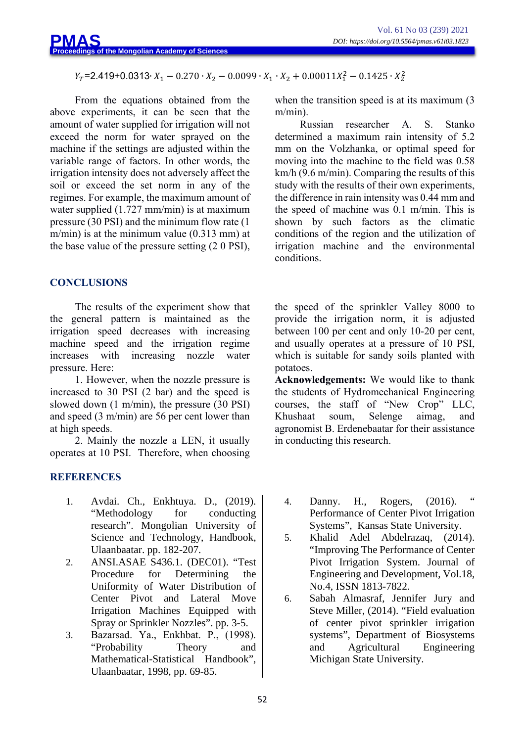# $Y_T$ =2.419+0.0313∙  $X_1$  – 0.270 ∙  $X_2$  – 0.0099 ∙  $X_1$  ∙  $X_2$  + 0.00011 $X_1^2$  – 0.1425 ∙  $X_2^2$

From the equations obtained from the above experiments, it can be seen that the amount of water supplied for irrigation will not exceed the norm for water sprayed on the machine if the settings are adjusted within the variable range of factors. In other words, the irrigation intensity does not adversely affect the soil or exceed the set norm in any of the regimes. For example, the maximum amount of water supplied (1.727 mm/min) is at maximum pressure (30 PSI) and the minimum flow rate (1 m/min) is at the minimum value (0.313 mm) at the base value of the pressure setting (2 0 PSI),

## **CONCLUSIONS**

The results of the experiment show that the general pattern is maintained as the irrigation speed decreases with increasing machine speed and the irrigation regime increases with increasing nozzle water pressure. Here:

1. However, when the nozzle pressure is increased to 30 PSI (2 bar) and the speed is slowed down (1 m/min), the pressure (30 PSI) and speed (3 m/min) are 56 per cent lower than at high speeds.

2. Mainly the nozzle a LEN, it usually operates at 10 PSI. Therefore, when choosing

## **REFERENCES**

- 1. Avdai. Ch., Enkhtuya. D., (2019). "Methodology for conducting research". Mongolian University of Science and Technology, Handbook, Ulaanbaatar. pp. 182-207.
- 2. ANSI.ASAE S436.1. (DEC01). "Test Procedure for Determining the Uniformity of Water Distribution of Center Pivot and Lateral Move Irrigation Machines Equipped with Spray or Sprinkler Nozzles". pp. 3-5.
- 3. Bazarsad. Ya., Enkhbat. Р., (1998). "Probability Theory and Mathematical-Statistical Handbook", Ulaanbaatar, 1998, pp. 69-85.

when the transition speed is at its maximum  $(3)$ m/min).

Russian researcher A. S. Stanko determined a maximum rain intensity of 5.2 mm on the Volzhanka, or optimal speed for moving into the machine to the field was 0.58 km/h (9.6 m/min). Comparing the results of this study with the results of their own experiments, the difference in rain intensity was 0.44 mm and the speed of machine was 0.1 m/min. This is shown by such factors as the climatic conditions of the region and the utilization of irrigation machine and the environmental conditions.

the speed of the sprinkler Valley 8000 to provide the irrigation norm, it is adjusted between 100 per cent and only 10-20 per cent, and usually operates at a pressure of 10 PSI, which is suitable for sandy soils planted with potatoes.

**Acknowledgements:** We would like to thank the students of Hydromechanical Engineering courses, the staff of "New Crop" LLC, Khushaat soum, Selenge aimag, and agronomist B. Erdenebaatar for their assistance in conducting this research.

- 4. Danny. H., Rogers, (2016). " Performance of Center Pivot Irrigation Systems", Kansas State University.
- 5. Khalid Adel Abdelrazaq, (2014). "Improving The Performance of Center Pivot Irrigation System. Journal of Engineering and Development, Vol.18, No.4, ISSN 1813-7822.
- 6. Sabah Almasraf, Jennifer Jury and Steve Miller, (2014). "Field evaluation of center pivot sprinkler irrigation systems", Department of Biosystems and Agricultural Engineering Michigan State University.